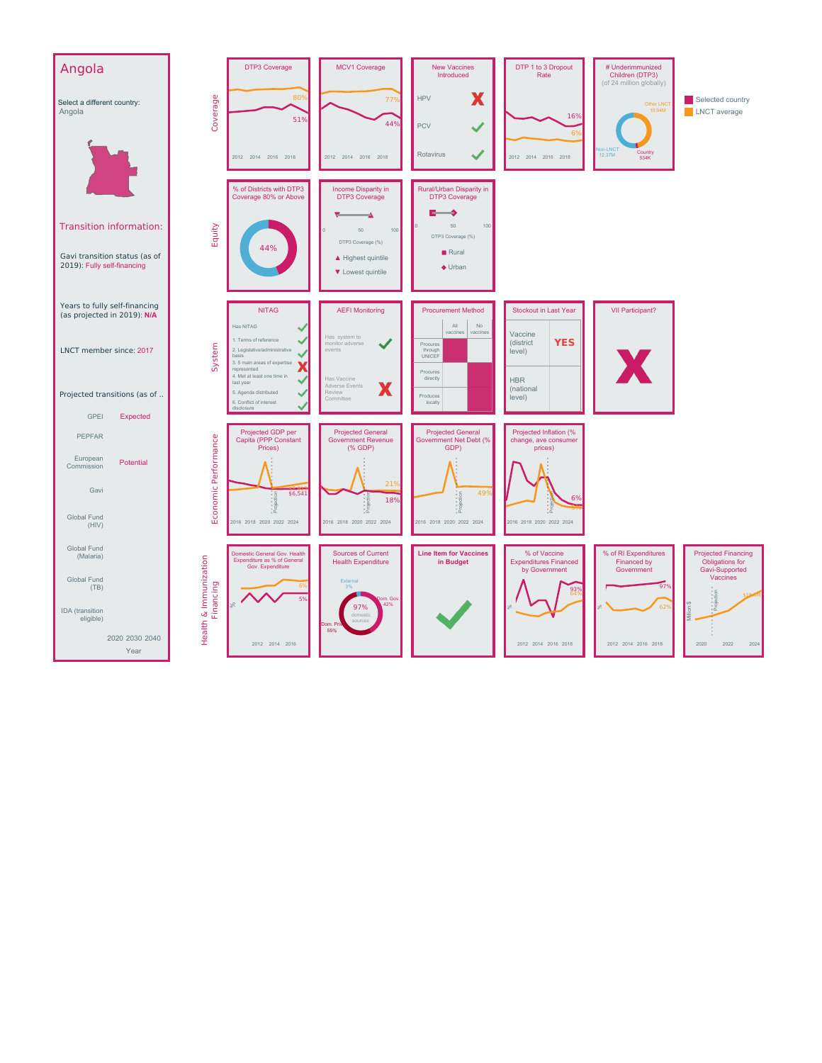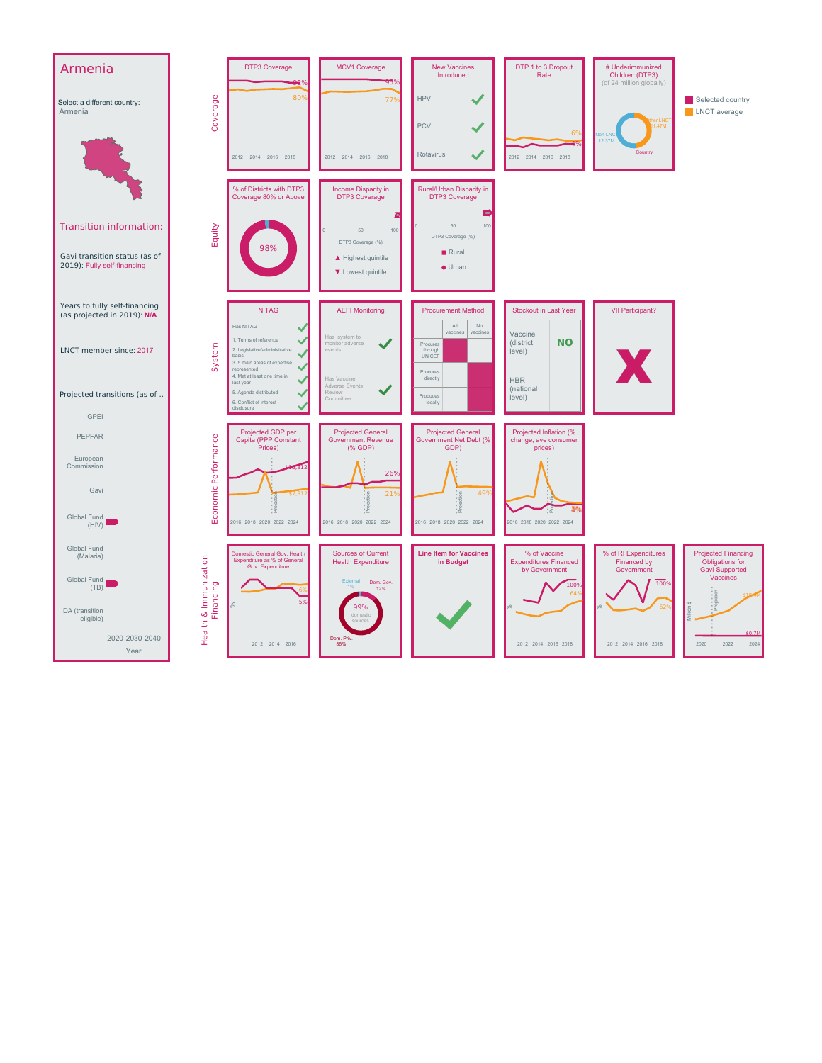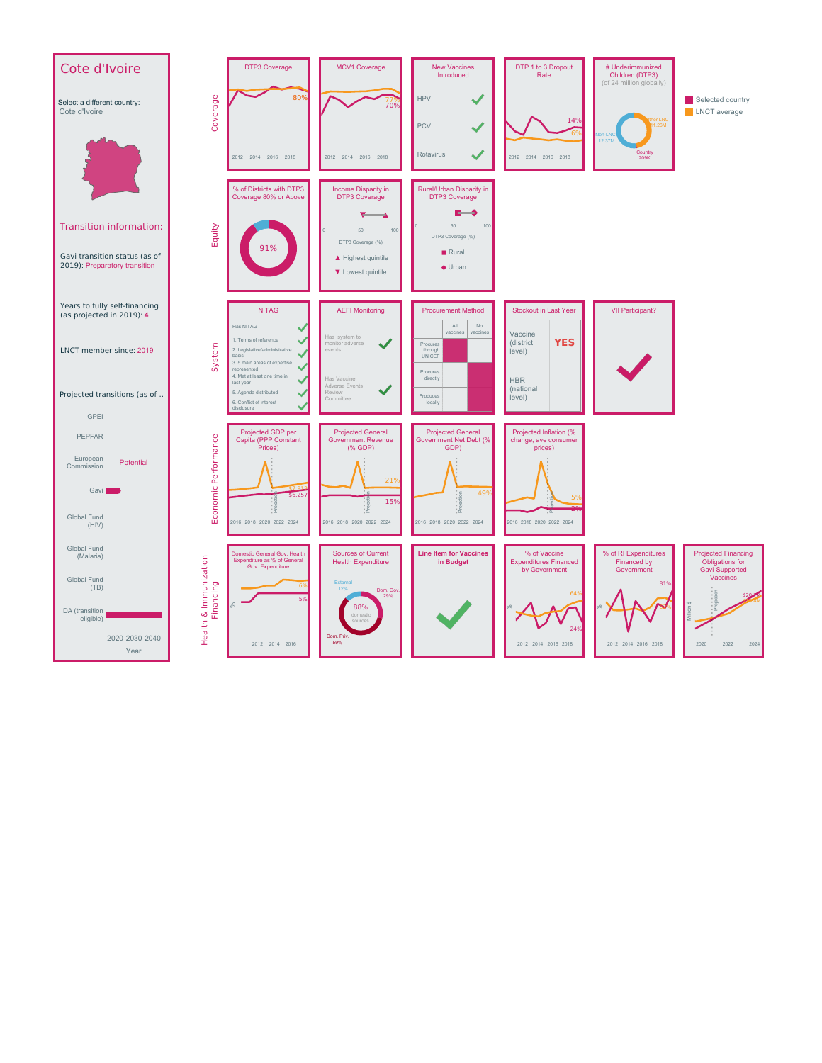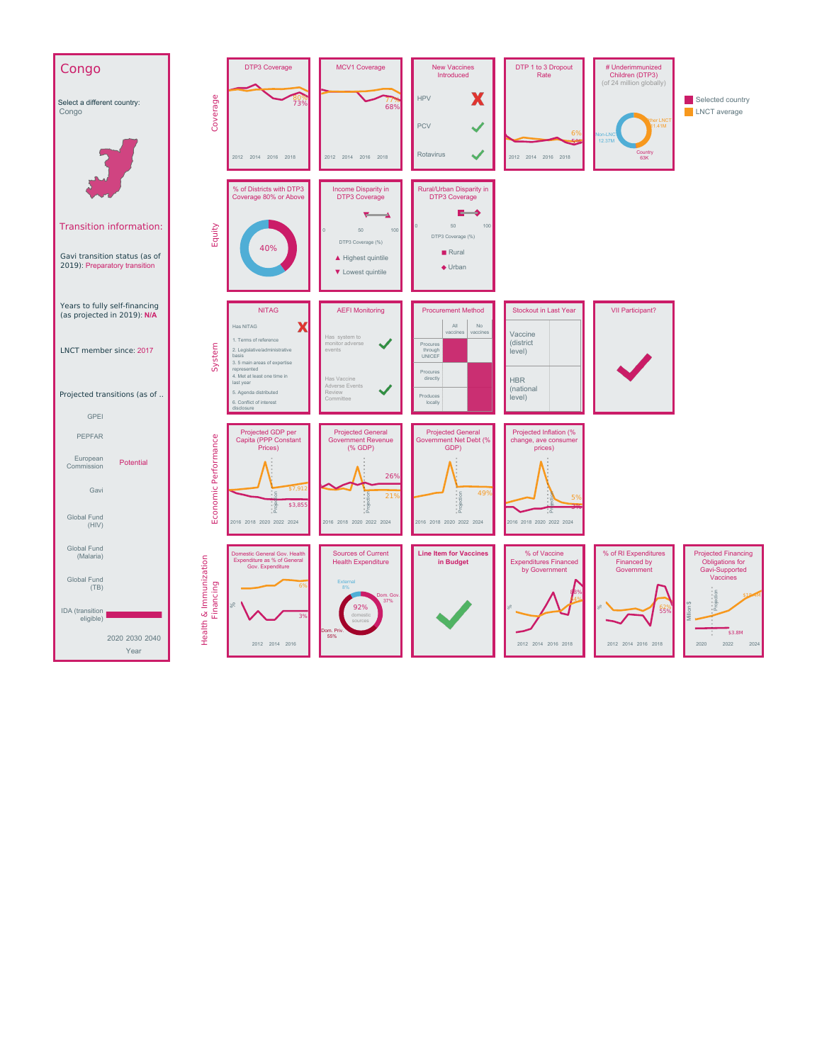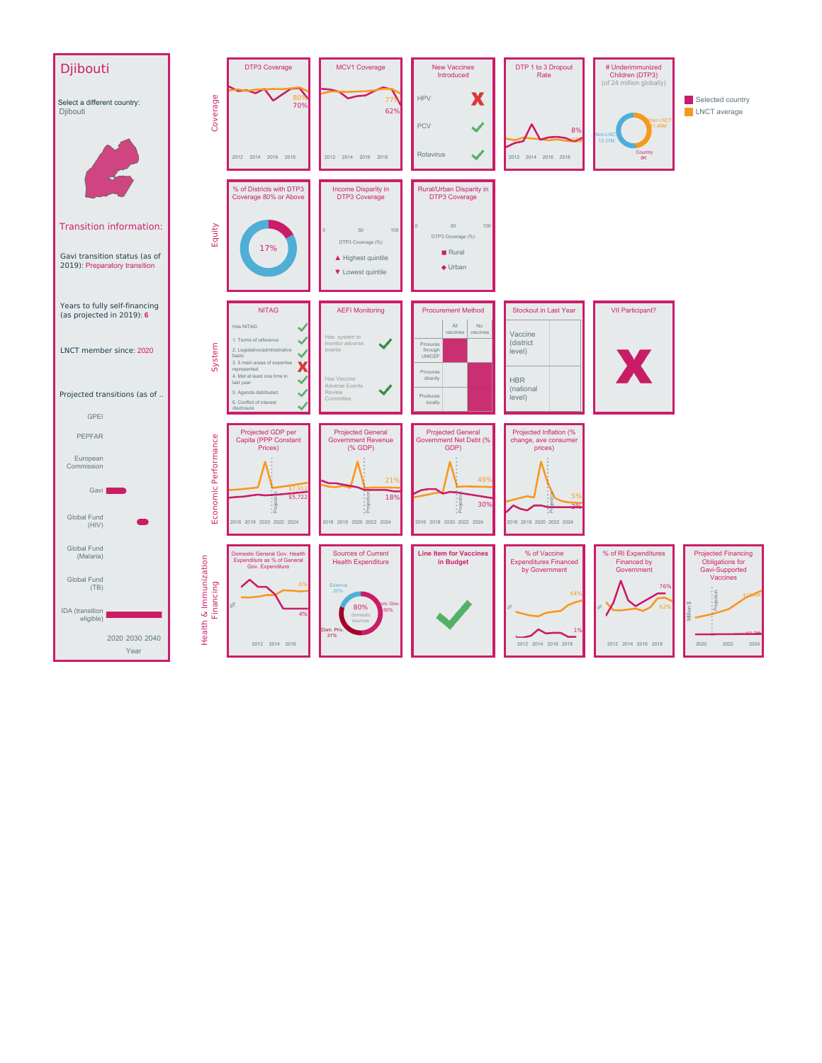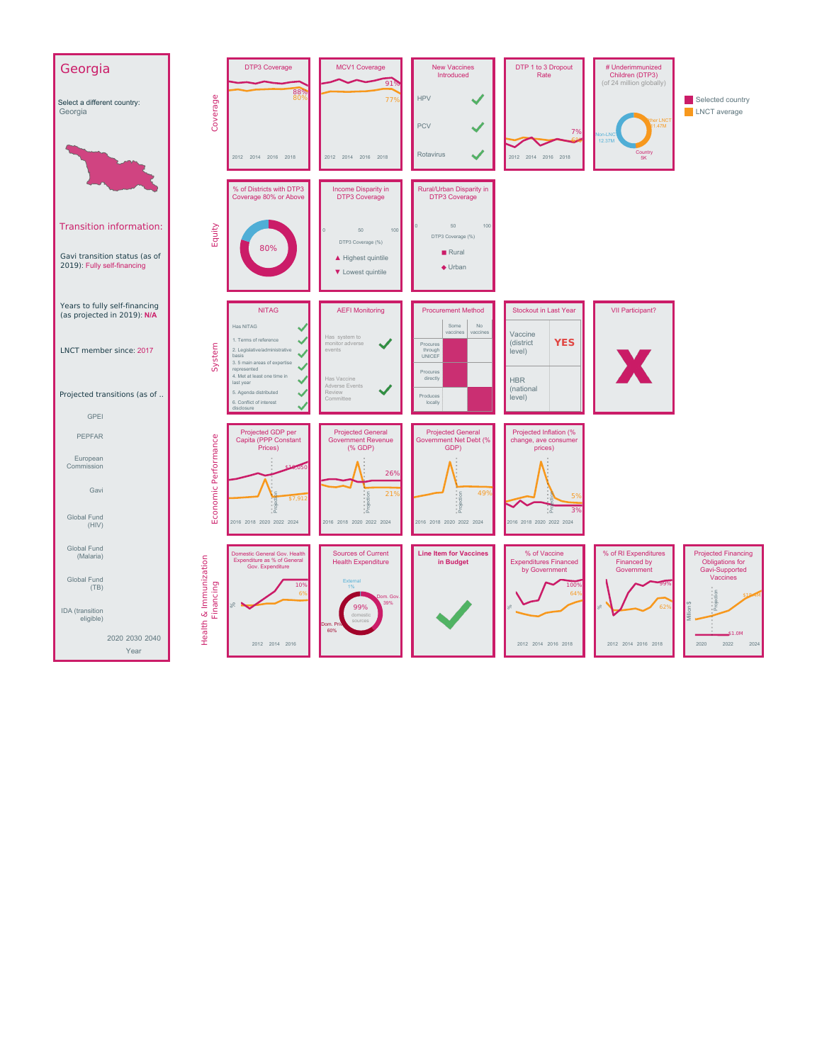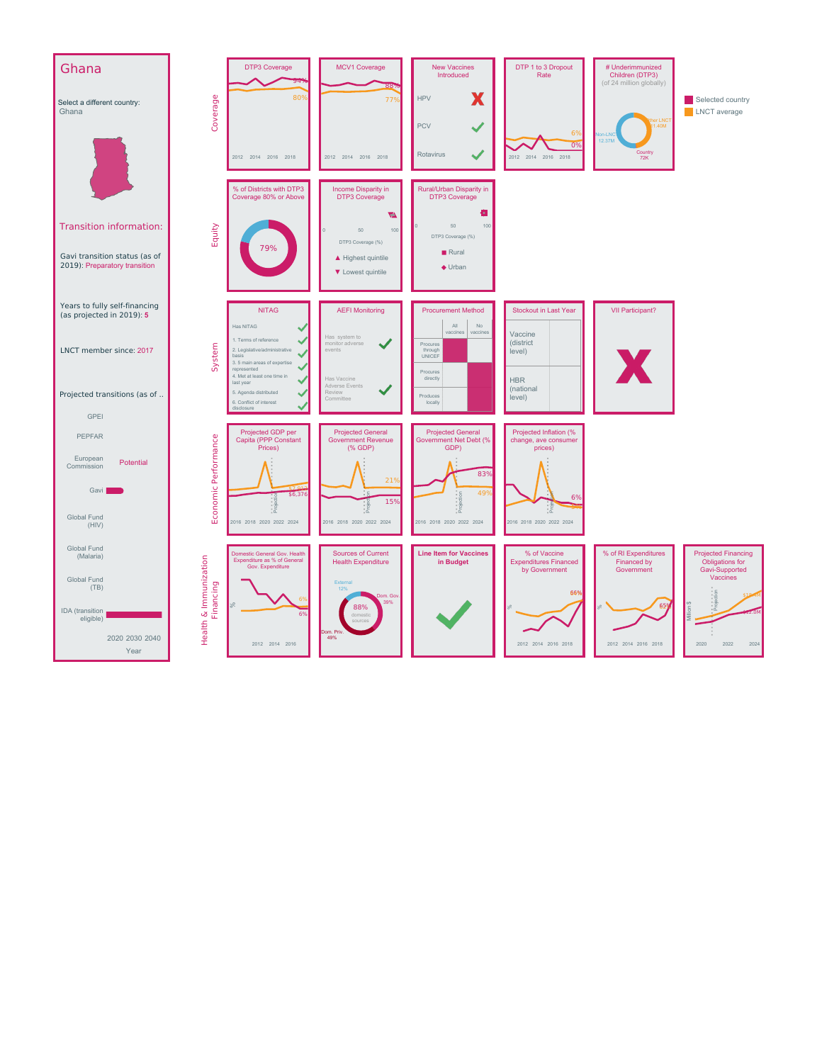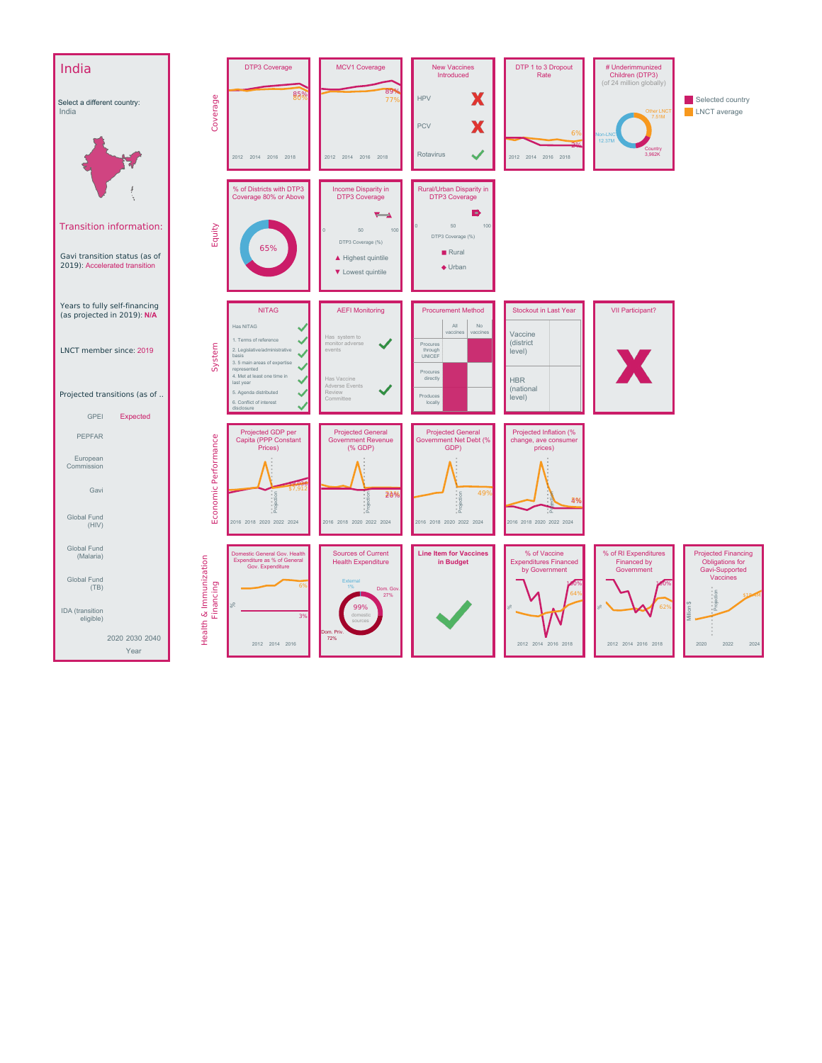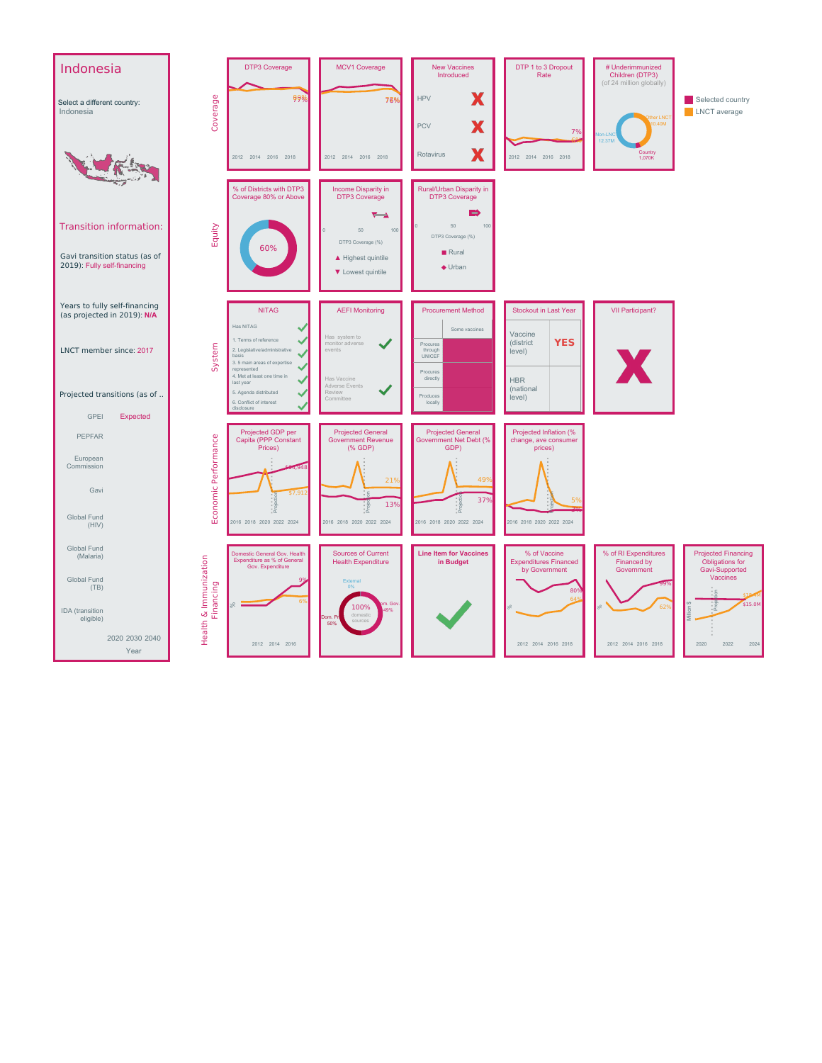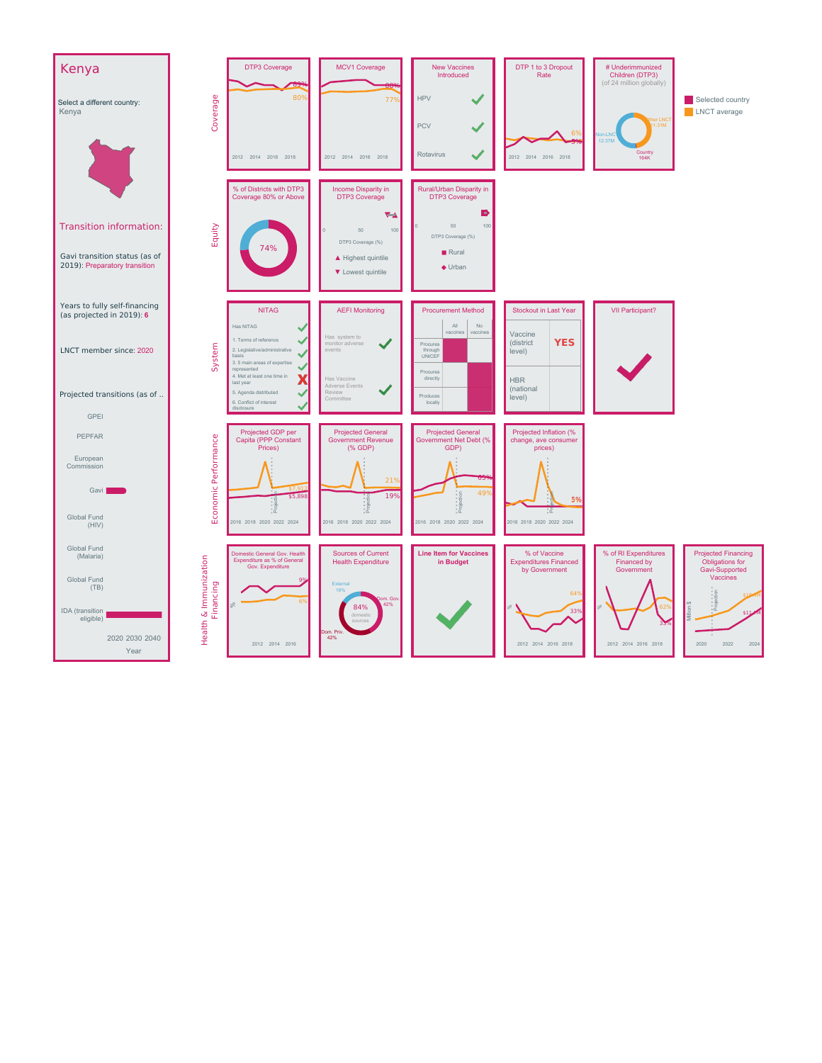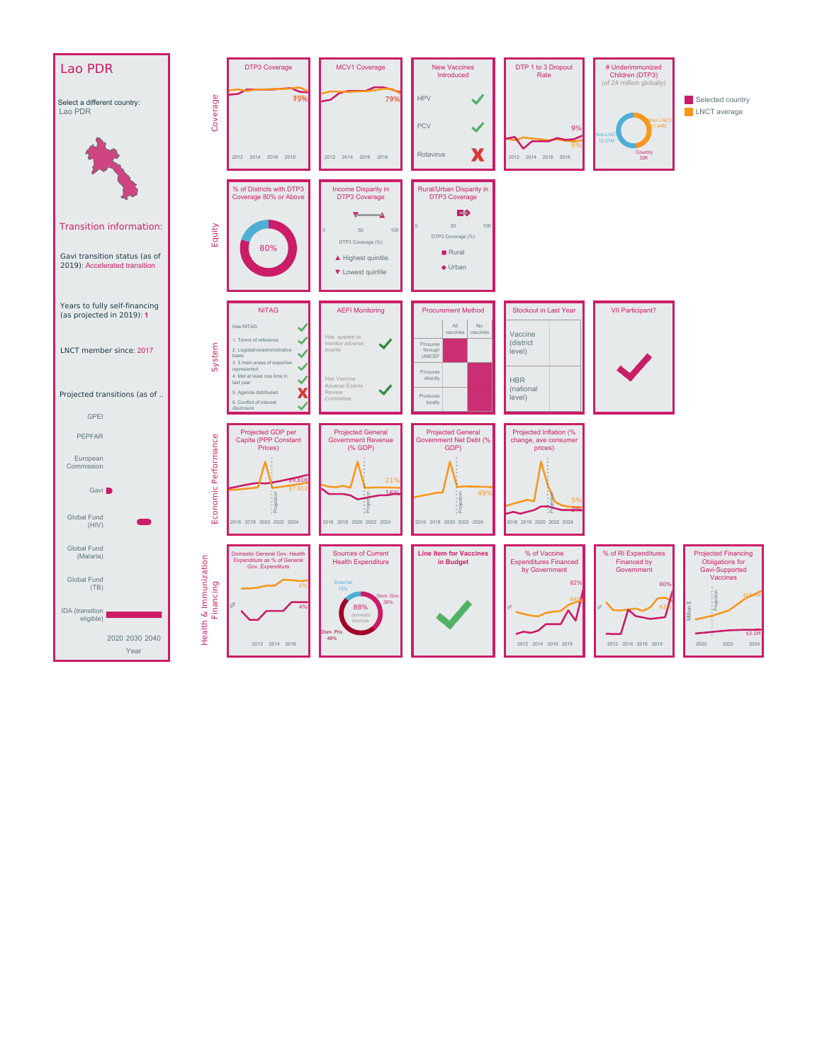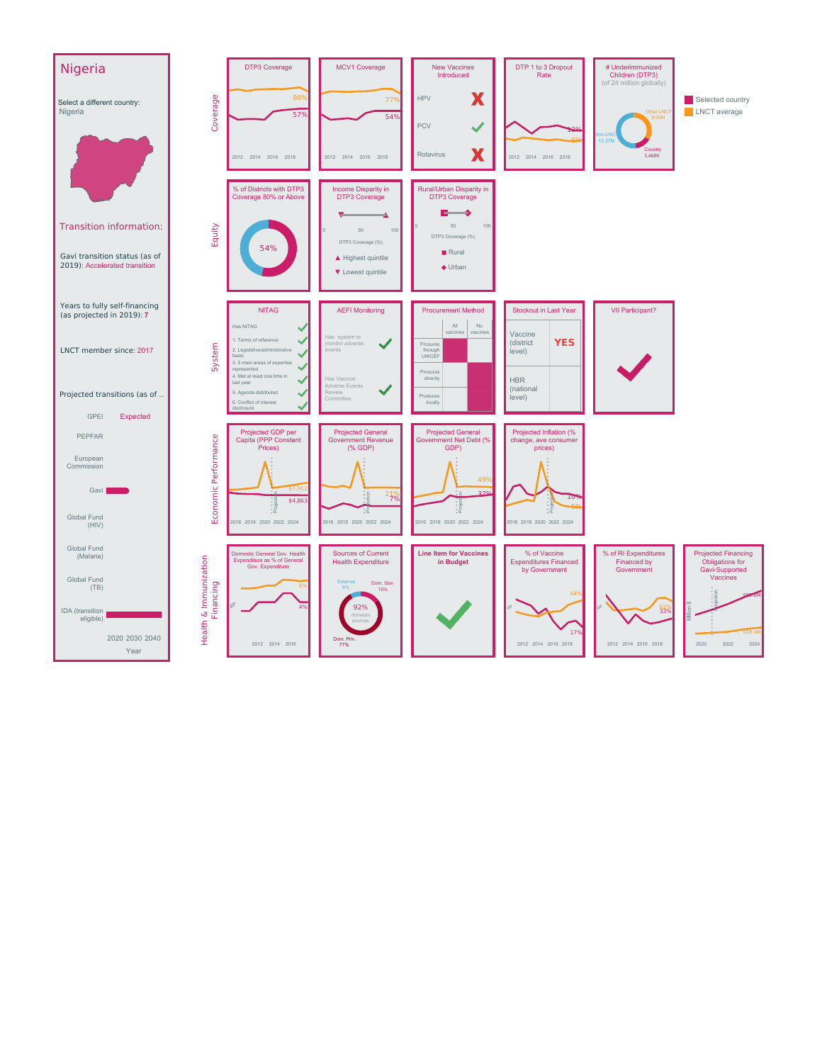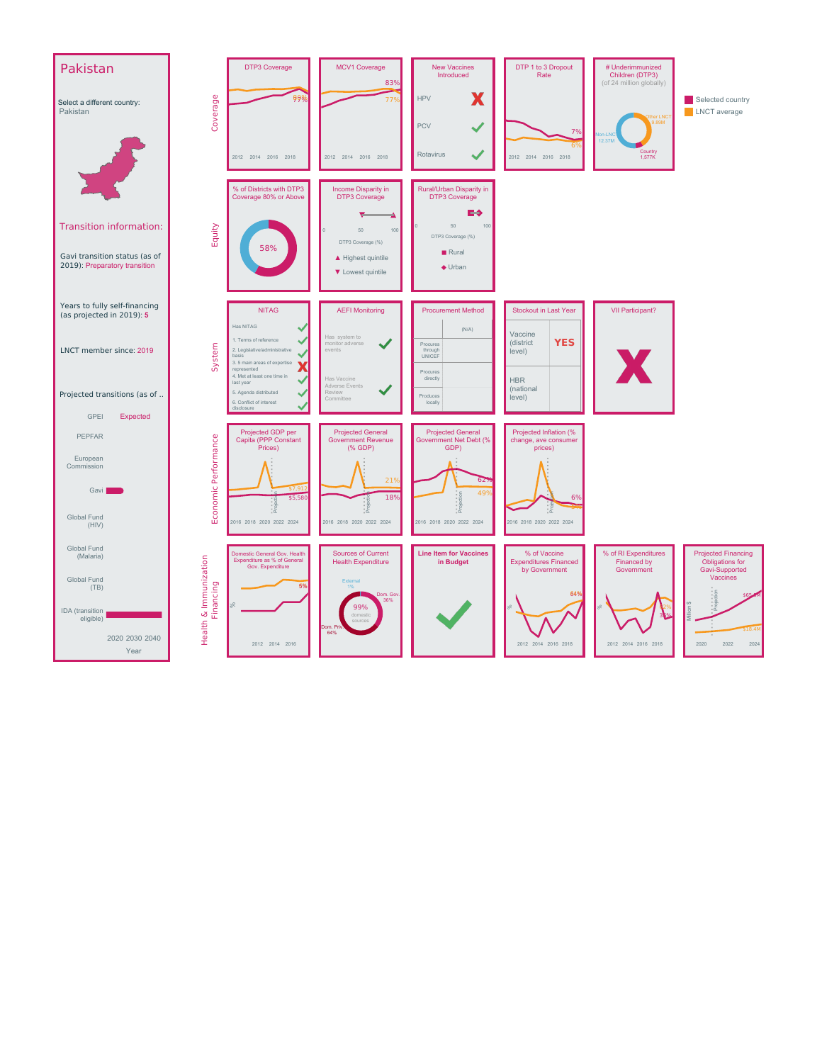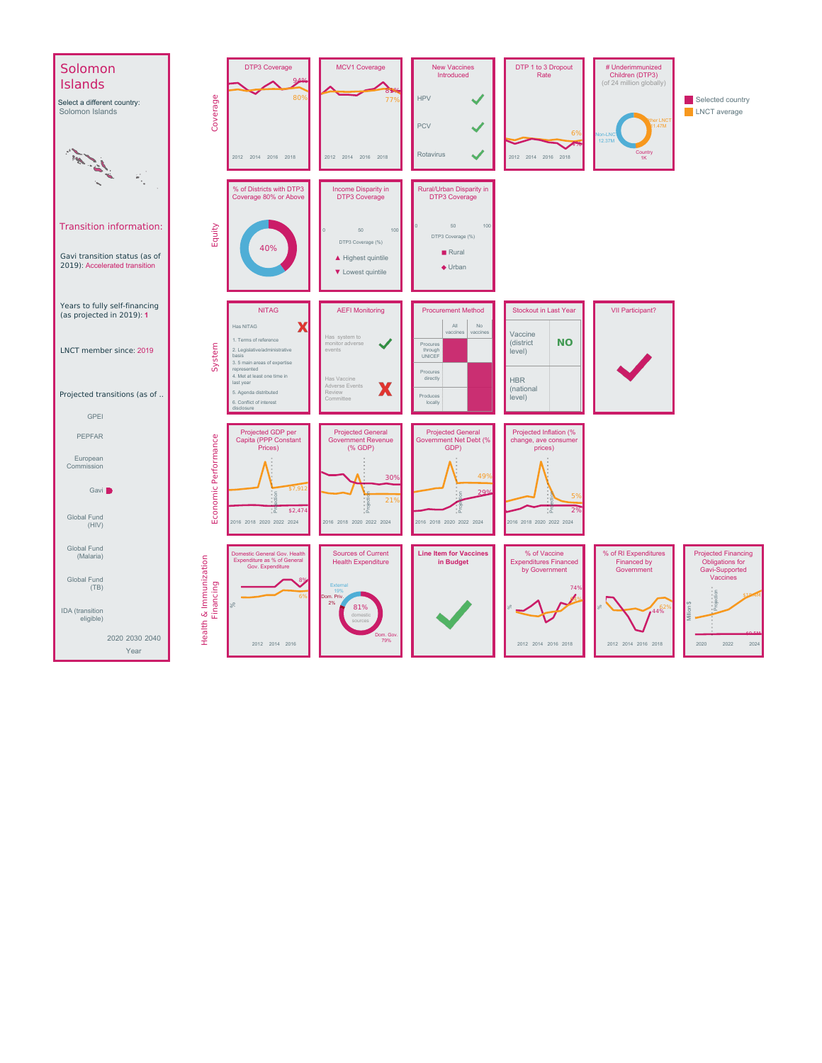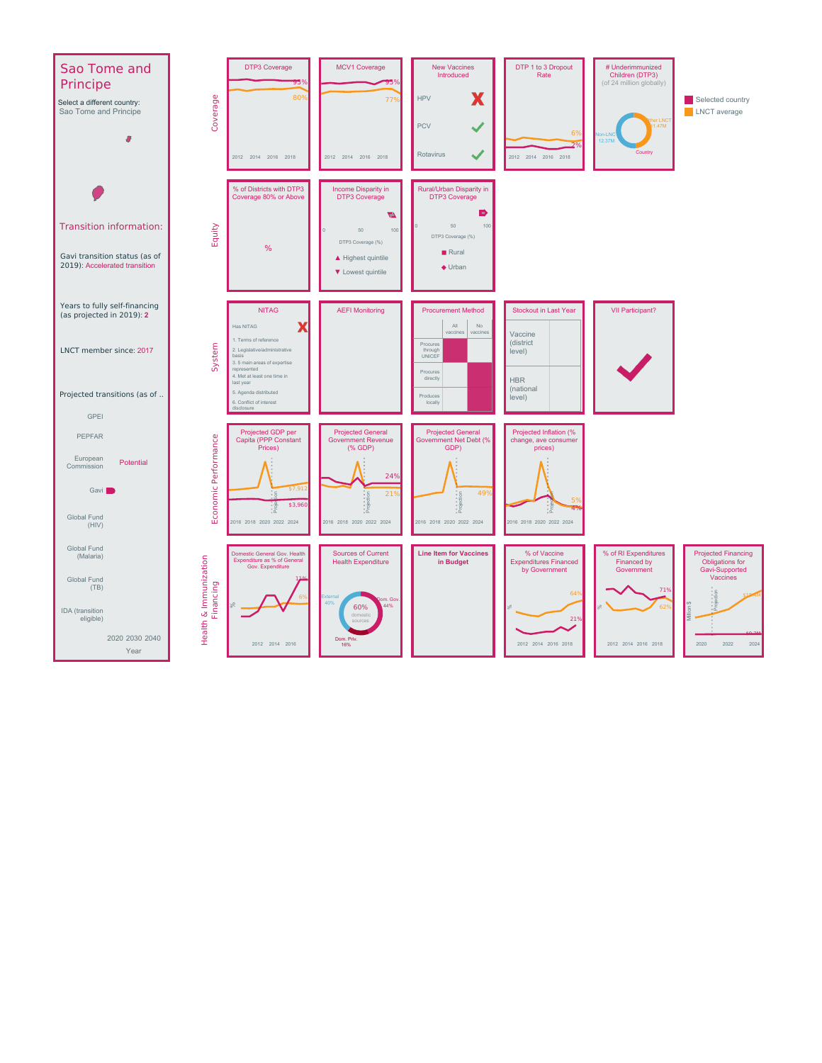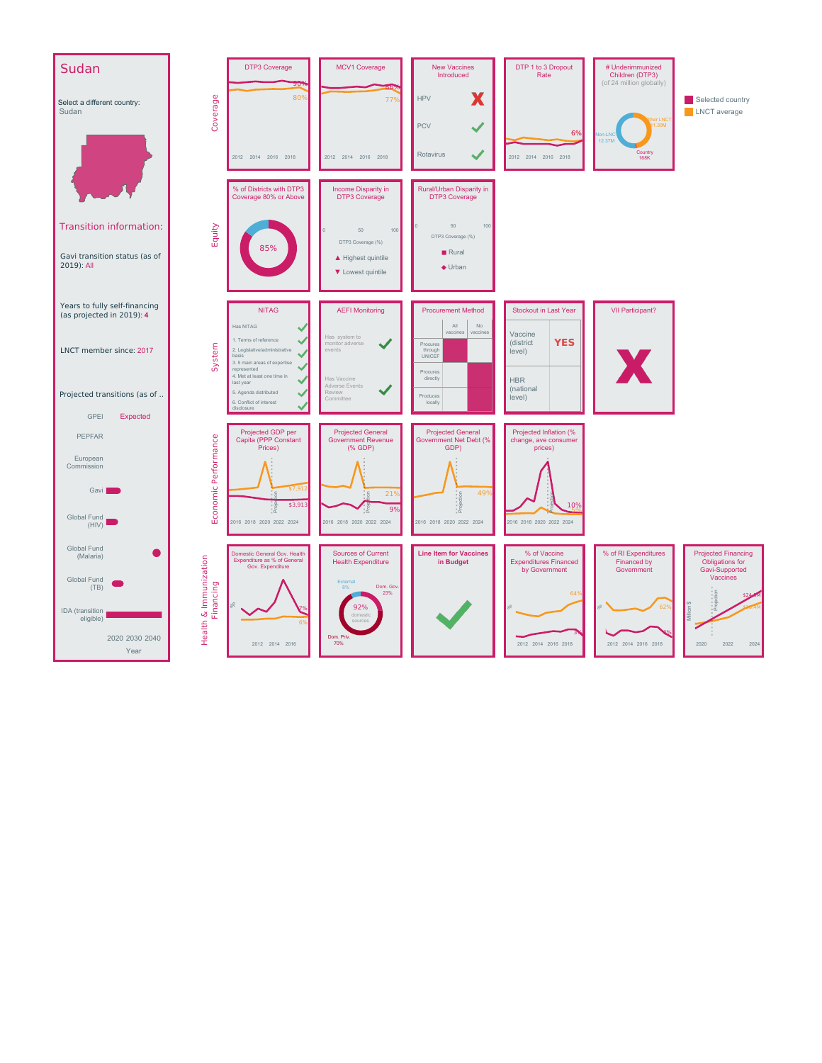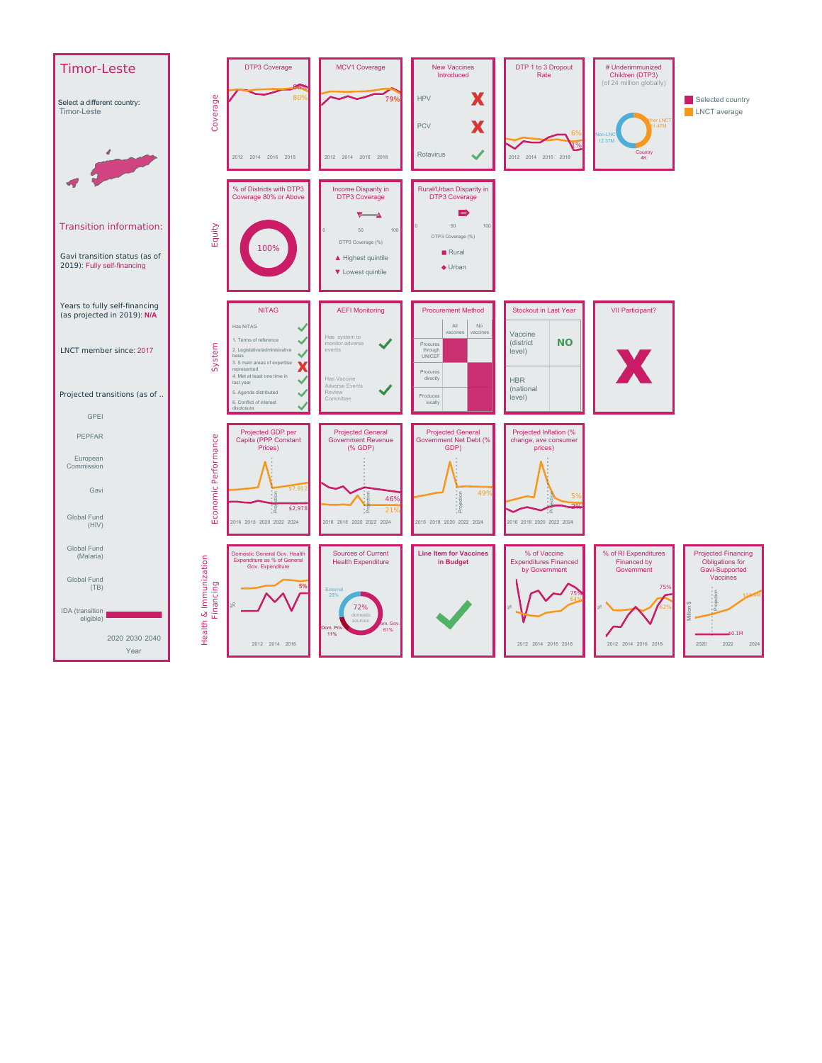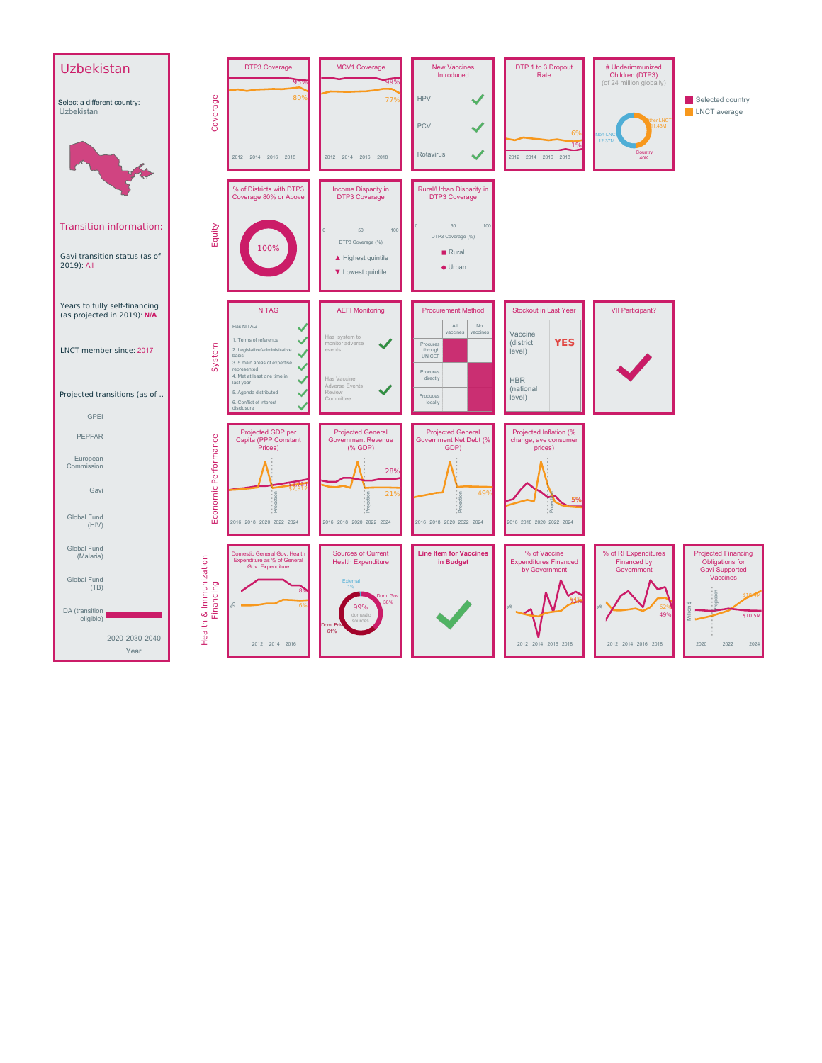